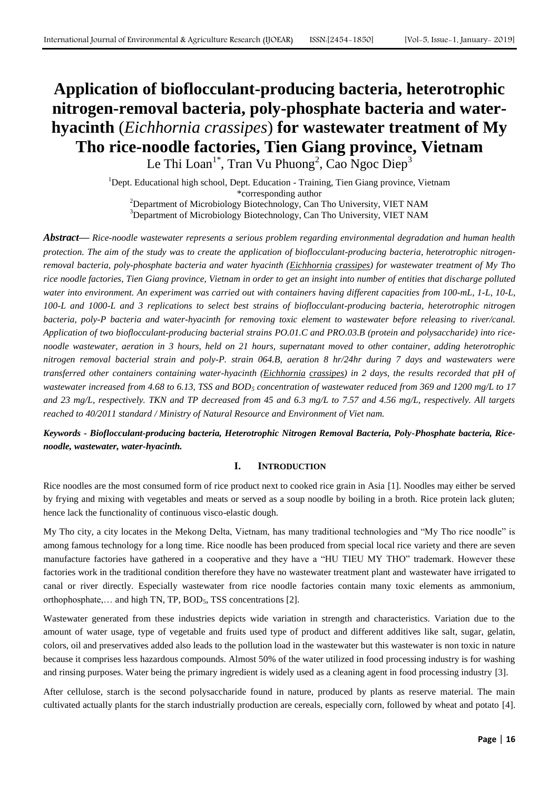# **Application of bioflocculant-producing bacteria, heterotrophic nitrogen-removal bacteria, poly-phosphate bacteria and waterhyacinth** (*Eichhornia crassipes*) **for wastewater treatment of My Tho rice-noodle factories, Tien Giang province, Vietnam** Le Thi Loan<sup>1\*</sup>, Tran Vu Phuong<sup>2</sup>, Cao Ngoc Diep<sup>3</sup>

<sup>1</sup>Dept. Educational high school, Dept. Education - Training, Tien Giang province, Vietnam

\*corresponding author

<sup>2</sup>Department of Microbiology Biotechnology, Can Tho University, VIET NAM <sup>3</sup>Department of Microbiology Biotechnology, Can Tho University, VIET NAM

*Abstract***—** *Rice-noodle wastewater represents a serious problem regarding environmental degradation and human health protection. The aim of the study was to create the application of bioflocculant-producing bacteria, heterotrophic nitrogenremoval bacteria, poly-phosphate bacteria and water hyacinth (Eichhornia crassipes) for wastewater treatment of My Tho rice noodle factories, Tien Giang province, Vietnam in order to get an insight into number of entities that discharge polluted water into environment. An experiment was carried out with containers having different capacities from 100-mL, 1-L, 10-L, 100-L and 1000-L and 3 replications to select best strains of bioflocculant-producing bacteria, heterotrophic nitrogen bacteria, poly-P bacteria and water-hyacinth for removing toxic element to wastewater before releasing to river/canal. Application of two bioflocculant-producing bacterial strains PO.01.C and PRO.03.B (protein and polysaccharide) into ricenoodle wastewater, aeration in 3 hours, held on 21 hours, supernatant moved to other container, adding heterotrophic nitrogen removal bacterial strain and poly-P. strain 064.B, aeration 8 hr/24hr during 7 days and wastewaters were transferred other containers containing water-hyacinth (Eichhornia crassipes) in 2 days, the results recorded that pH of wastewater increased from 4.68 to 6.13, TSS and BOD<sup>5</sup> concentration of wastewater reduced from 369 and 1200 mg/L to 17 and 23 mg/L, respectively. TKN and TP decreased from 45 and 6.3 mg/L to 7.57 and 4.56 mg/L, respectively. All targets reached to 40/2011 standard / Ministry of Natural Resource and Environment of Viet nam.*

*Keywords - Bioflocculant-producing bacteria, Heterotrophic Nitrogen Removal Bacteria, Poly-Phosphate bacteria, Ricenoodle, wastewater, water-hyacinth.*

# **I. INTRODUCTION**

Rice noodles are the most consumed form of rice product next to cooked rice grain in Asia [1]. Noodles may either be served by frying and mixing with vegetables and meats or served as a soup noodle by boiling in a broth. Rice protein lack gluten; hence lack the functionality of continuous visco-elastic dough.

My Tho city, a city locates in the Mekong Delta, Vietnam, has many traditional technologies and "My Tho rice noodle" is among famous technology for a long time. Rice noodle has been produced from special local rice variety and there are seven manufacture factories have gathered in a cooperative and they have a "HU TIEU MY THO" trademark. However these factories work in the traditional condition therefore they have no wastewater treatment plant and wastewater have irrigated to canal or river directly. Especially wastewater from rice noodle factories contain many toxic elements as ammonium, orthophosphate,... and high TN, TP, BOD<sub>5</sub>, TSS concentrations [2].

Wastewater generated from these industries depicts wide variation in strength and characteristics. Variation due to the amount of water usage, type of vegetable and fruits used type of product and different additives like salt, sugar, gelatin, colors, oil and preservatives added also leads to the pollution load in the wastewater but this wastewater is non toxic in nature because it comprises less hazardous compounds. Almost 50% of the water utilized in food processing industry is for washing and rinsing purposes. Water being the primary ingredient is widely used as a cleaning agent in food processing industry [3].

After cellulose, starch is the second polysaccharide found in nature, produced by plants as reserve material. The main cultivated actually plants for the starch industrially production are cereals, especially corn, followed by wheat and potato [4].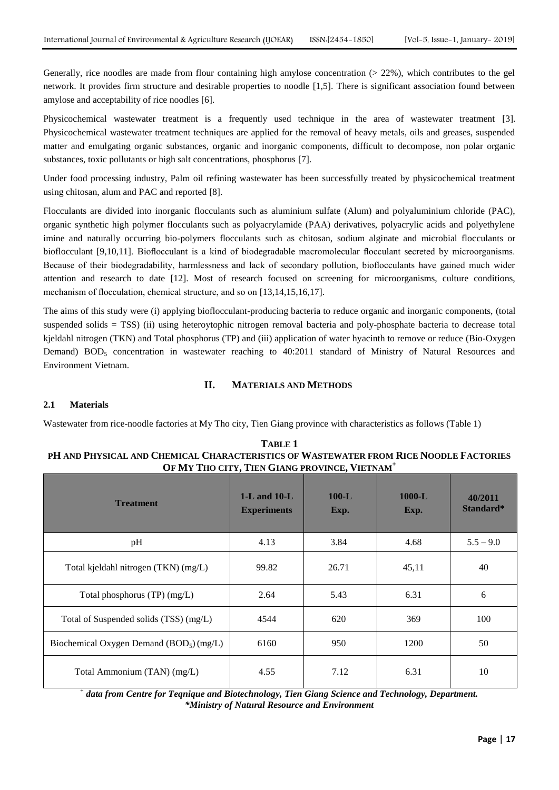Generally, rice noodles are made from flour containing high amylose concentration (> 22%), which contributes to the gel network. It provides firm structure and desirable properties to noodle [1,5]. There is significant association found between amylose and acceptability of rice noodles [6].

Physicochemical wastewater treatment is a frequently used technique in the area of wastewater treatment [3]. Physicochemical wastewater treatment techniques are applied for the removal of heavy metals, oils and greases, suspended matter and emulgating organic substances, organic and inorganic components, difficult to decompose, non polar organic substances, toxic pollutants or high salt concentrations, phosphorus [7].

Under food processing industry, Palm oil refining wastewater has been successfully treated by physicochemical treatment using chitosan, alum and PAC and reported [8].

Flocculants are divided into inorganic flocculants such as aluminium sulfate (Alum) and polyaluminium chloride (PAC), organic synthetic high polymer flocculants such as polyacrylamide (PAA) derivatives, polyacrylic acids and polyethylene imine and naturally occurring bio-polymers flocculants such as chitosan, sodium alginate and microbial flocculants or bioflocculant [9,10,11]. Bioflocculant is a kind of biodegradable macromolecular flocculant secreted by microorganisms. Because of their biodegradability, harmlessness and lack of secondary pollution, bioflocculants have gained much wider attention and research to date [12]. Most of research focused on screening for microorganisms, culture conditions, mechanism of flocculation, chemical structure, and so on [13,14,15,16,17].

The aims of this study were (i) applying bioflocculant-producing bacteria to reduce organic and inorganic components, (total suspended solids = TSS) (ii) using heteroytophic nitrogen removal bacteria and poly-phosphate bacteria to decrease total kjeldahl nitrogen (TKN) and Total phosphorus (TP) and (iii) application of water hyacinth to remove or reduce (Bio-Oxygen Demand)  $BOD<sub>5</sub>$  concentration in wastewater reaching to 40:2011 standard of Ministry of Natural Resources and Environment Vietnam.

## **II. MATERIALS AND METHODS**

#### **2.1 Materials**

Wastewater from rice-noodle factories at My Tho city, Tien Giang province with characteristics as follows (Table 1)

| TABLE 1                                                                               |
|---------------------------------------------------------------------------------------|
| PH AND PHYSICAL AND CHEMICAL CHARACTERISTICS OF WASTEWATER FROM RICE NOODLE FACTORIES |
| OF MY THO CITY, TIEN GIANG PROVINCE, VIETNAM <sup>+</sup>                             |

| <b>Treatment</b>                                     | $1-L$ and $10-L$<br><b>Experiments</b> | $100-L$<br>Exp. | $1000-L$<br>Exp. | 40/2011<br>Standard* |
|------------------------------------------------------|----------------------------------------|-----------------|------------------|----------------------|
| pH                                                   | 4.13                                   | 3.84            | 4.68             | $5.5 - 9.0$          |
| Total kjeldahl nitrogen (TKN) (mg/L)                 | 99.82                                  | 26.71           | 45,11            | 40                   |
| Total phosphorus (TP) (mg/L)                         | 2.64                                   | 5.43            | 6.31             | 6                    |
| Total of Suspended solids (TSS) (mg/L)               | 4544                                   | 620             | 369              | 100                  |
| Biochemical Oxygen Demand (BOD <sub>5</sub> ) (mg/L) | 6160                                   | 950             | 1200             | 50                   |
| Total Ammonium (TAN) (mg/L)                          | 4.55                                   | 7.12            | 6.31             | 10                   |

*+ data from Centre for Teqnique and Biotechnology, Tien Giang Science and Technology, Department. \*Ministry of Natural Resource and Environment*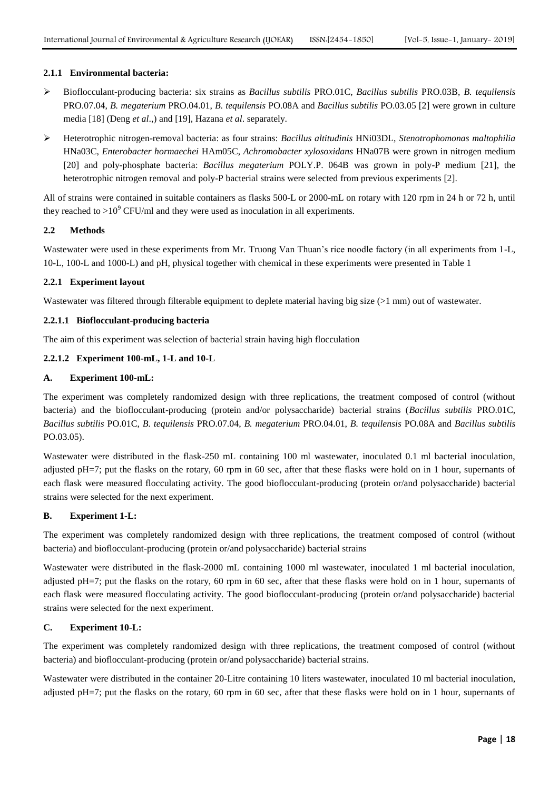## **2.1.1 Environmental bacteria:**

- Bioflocculant-producing bacteria: six strains as *Bacillus subtilis* PRO.01C, *Bacillus subtilis* PRO.03B, *B. tequilensis* PRO.07.04, *B. megaterium* PRO.04.01, *B. tequilensis* PO.08A and *Bacillus subtilis* PO.03.05 [2] were grown in culture media [18] (Deng *et al*.,) and [19], Hazana *et al*. separately.
- Heterotrophic nitrogen-removal bacteria: as four strains: *Bacillus altitudinis* HNi03DL, *Stenotrophomonas maltophilia* HNa03C, *Enterobacter hormaechei* HAm05C, *Achromobacter xylosoxidans* HNa07B were grown in nitrogen medium [20] and poly-phosphate bacteria: *Bacillus megaterium* POLY.P. 064B was grown in poly-P medium [21], the heterotrophic nitrogen removal and poly-P bacterial strains were selected from previous experiments [2].

All of strains were contained in suitable containers as flasks 500-L or 2000-mL on rotary with 120 rpm in 24 h or 72 h, until they reached to  $>10^9$  CFU/ml and they were used as inoculation in all experiments.

## **2.2 Methods**

Wastewater were used in these experiments from Mr. Truong Van Thuan's rice noodle factory (in all experiments from 1-L, 10-L, 100-L and 1000-L) and pH, physical together with chemical in these experiments were presented in Table 1

## **2.2.1 Experiment layout**

Wastewater was filtered through filterable equipment to deplete material having big size (>1 mm) out of wastewater.

## **2.2.1.1 Bioflocculant-producing bacteria**

The aim of this experiment was selection of bacterial strain having high flocculation

## **2.2.1.2 Experiment 100-mL, 1-L and 10-L**

#### **A. Experiment 100-mL:**

The experiment was completely randomized design with three replications, the treatment composed of control (without bacteria) and the bioflocculant-producing (protein and/or polysaccharide) bacterial strains (*Bacillus subtilis* PRO.01C, *Bacillus subtilis* PO.01C, *B. tequilensis* PRO.07.04, *B. megaterium* PRO.04.01, *B. tequilensis* PO.08A and *Bacillus subtilis* PO.03.05).

Wastewater were distributed in the flask-250 mL containing 100 ml wastewater, inoculated 0.1 ml bacterial inoculation, adjusted pH=7; put the flasks on the rotary, 60 rpm in 60 sec, after that these flasks were hold on in 1 hour, supernants of each flask were measured flocculating activity. The good bioflocculant-producing (protein or/and polysaccharide) bacterial strains were selected for the next experiment.

#### **B. Experiment 1-L:**

The experiment was completely randomized design with three replications, the treatment composed of control (without bacteria) and bioflocculant-producing (protein or/and polysaccharide) bacterial strains

Wastewater were distributed in the flask-2000 mL containing 1000 ml wastewater, inoculated 1 ml bacterial inoculation, adjusted pH=7; put the flasks on the rotary, 60 rpm in 60 sec, after that these flasks were hold on in 1 hour, supernants of each flask were measured flocculating activity. The good bioflocculant-producing (protein or/and polysaccharide) bacterial strains were selected for the next experiment.

## **C. Experiment 10-L:**

The experiment was completely randomized design with three replications, the treatment composed of control (without bacteria) and bioflocculant-producing (protein or/and polysaccharide) bacterial strains.

Wastewater were distributed in the container 20-Litre containing 10 liters wastewater, inoculated 10 ml bacterial inoculation, adjusted pH=7; put the flasks on the rotary, 60 rpm in 60 sec, after that these flasks were hold on in 1 hour, supernants of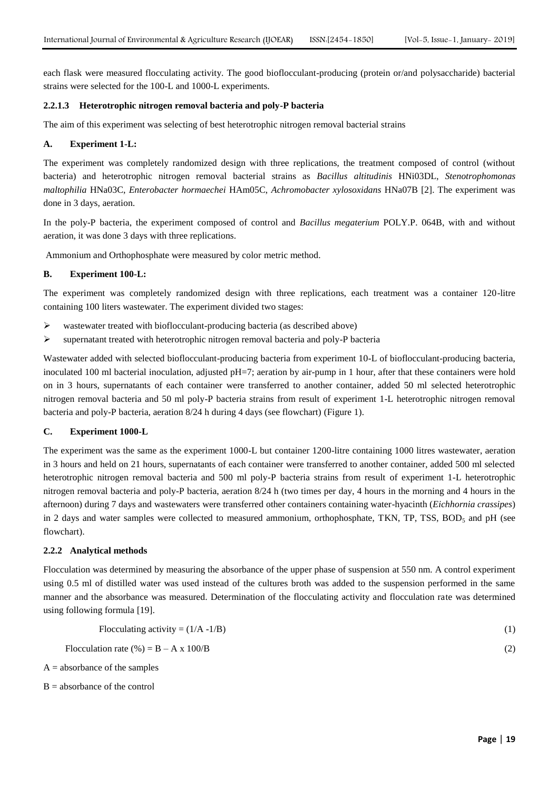each flask were measured flocculating activity. The good bioflocculant-producing (protein or/and polysaccharide) bacterial strains were selected for the 100-L and 1000-L experiments.

## **2.2.1.3 Heterotrophic nitrogen removal bacteria and poly-P bacteria**

The aim of this experiment was selecting of best heterotrophic nitrogen removal bacterial strains

## **A. Experiment 1-L:**

The experiment was completely randomized design with three replications, the treatment composed of control (without bacteria) and heterotrophic nitrogen removal bacterial strains as *Bacillus altitudinis* HNi03DL, *Stenotrophomonas maltophilia* HNa03C, *Enterobacter hormaechei* HAm05C, *Achromobacter xylosoxidans* HNa07B [2]. The experiment was done in 3 days, aeration.

In the poly-P bacteria, the experiment composed of control and *Bacillus megaterium* POLY.P. 064B, with and without aeration, it was done 3 days with three replications.

Ammonium and Orthophosphate were measured by color metric method.

## **B. Experiment 100-L:**

The experiment was completely randomized design with three replications, each treatment was a container 120-litre containing 100 liters wastewater. The experiment divided two stages:

- $\triangleright$  wastewater treated with bioflocculant-producing bacteria (as described above)
- $\triangleright$  supernatant treated with heterotrophic nitrogen removal bacteria and poly-P bacteria

Wastewater added with selected bioflocculant-producing bacteria from experiment 10-L of bioflocculant-producing bacteria, inoculated 100 ml bacterial inoculation, adjusted pH=7; aeration by air-pump in 1 hour, after that these containers were hold on in 3 hours, supernatants of each container were transferred to another container, added 50 ml selected heterotrophic nitrogen removal bacteria and 50 ml poly-P bacteria strains from result of experiment 1-L heterotrophic nitrogen removal bacteria and poly-P bacteria, aeration 8/24 h during 4 days (see flowchart) (Figure 1).

#### **C. Experiment 1000-L**

The experiment was the same as the experiment 1000-L but container 1200-litre containing 1000 litres wastewater, aeration in 3 hours and held on 21 hours, supernatants of each container were transferred to another container, added 500 ml selected heterotrophic nitrogen removal bacteria and 500 ml poly-P bacteria strains from result of experiment 1-L heterotrophic nitrogen removal bacteria and poly-P bacteria, aeration 8/24 h (two times per day, 4 hours in the morning and 4 hours in the afternoon) during 7 days and wastewaters were transferred other containers containing water-hyacinth (*Eichhornia crassipes*) in 2 days and water samples were collected to measured ammonium, orthophosphate, TKN, TP, TSS,  $BOD<sub>5</sub>$  and pH (see flowchart).

#### **2.2.2 Analytical methods**

Flocculation was determined by measuring the absorbance of the upper phase of suspension at 550 nm. A control experiment using 0.5 ml of distilled water was used instead of the cultures broth was added to the suspension performed in the same manner and the absorbance was measured. Determination of the flocculating activity and flocculation rate was determined using following formula [19].

Flocculation rate (%) =  $B - A x 100/B$  (2)

 $A =$  absorbance of the samples

 $B =$  absorbance of the control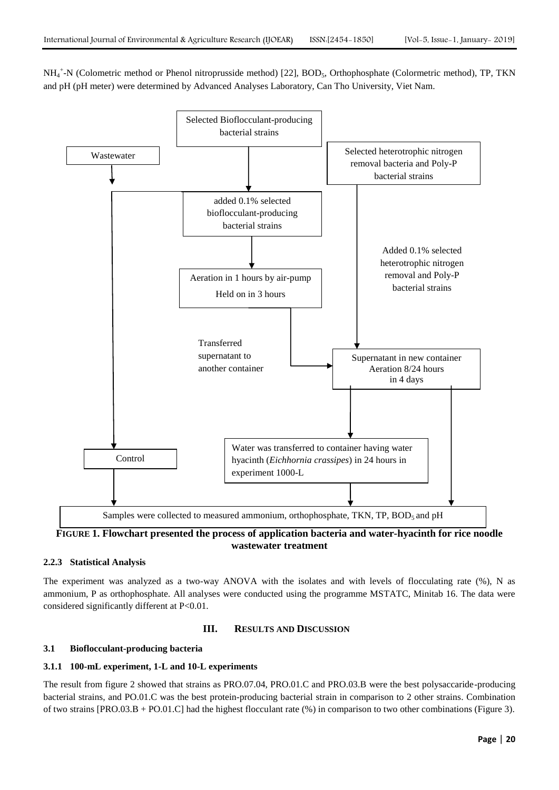NH<sub>4</sub><sup>+</sup>-N (Colometric method or Phenol nitroprusside method) [22], BOD<sub>5</sub>, Orthophosphate (Colormetric method), TP, TKN and pH (pH meter) were determined by Advanced Analyses Laboratory, Can Tho University, Viet Nam.



**2.2.3 Statistical Analysis** 

The experiment was analyzed as a two-way ANOVA with the isolates and with levels of flocculating rate (%), N as ammonium, P as orthophosphate. All analyses were conducted using the programme MSTATC, Minitab 16. The data were considered significantly different at P<0.01.

## **III. RESULTS AND DISCUSSION**

## **3.1 Bioflocculant-producing bacteria**

#### **3.1.1 100-mL experiment, 1-L and 10-L experiments**

The result from figure 2 showed that strains as PRO.07.04, PRO.01.C and PRO.03.B were the best polysaccaride-producing bacterial strains, and PO.01.C was the best protein-producing bacterial strain in comparison to 2 other strains. Combination of two strains  $[PRO.03.B + PO.01.C]$  had the highest flocculant rate  $(\%)$  in comparison to two other combinations (Figure 3).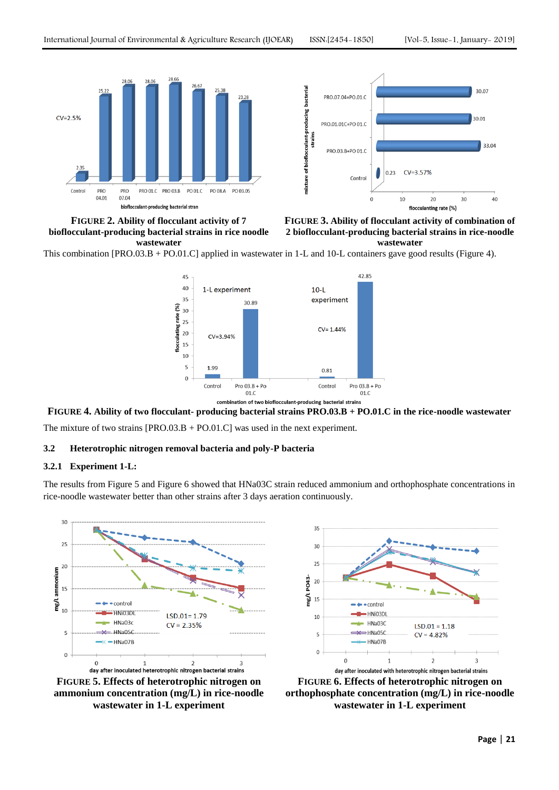

**FIGURE 2. Ability of flocculant activity of 7 bioflocculant-producing bacterial strains in rice noodle wastewater**



**FIGURE 3. Ability of flocculant activity of combination of 2 bioflocculant-producing bacterial strains in rice-noodle wastewater**

This combination [PRO.03.B + PO.01.C] applied in wastewater in 1-L and 10-L containers gave good results (Figure 4).



## **FIGURE 4. Ability of two flocculant- producing bacterial strains PRO.03.B + PO.01.C in the rice-noodle wastewater**

The mixture of two strains [PRO.03.B + PO.01.C] was used in the next experiment.

## **3.2 Heterotrophic nitrogen removal bacteria and poly-P bacteria**

#### **3.2.1 Experiment 1-L:**

The results from Figure 5 and Figure 6 showed that HNa03C strain reduced ammonium and orthophosphate concentrations in rice-noodle wastewater better than other strains after 3 days aeration continuously.



**FIGURE 5. Effects of heterotrophic nitrogen on ammonium concentration (mg/L) in rice-noodle wastewater in 1-L experiment**



**FIGURE 6. Effects of heterotrophic nitrogen on orthophosphate concentration (mg/L) in rice-noodle wastewater in 1-L experiment**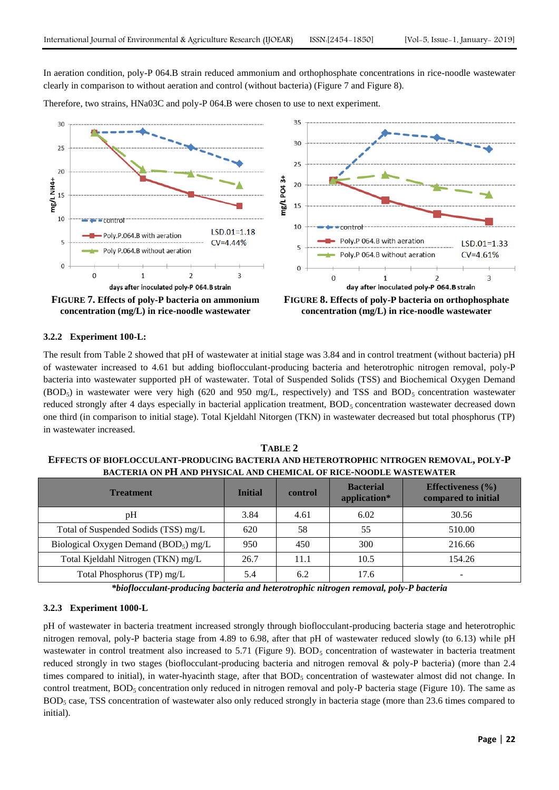In aeration condition, poly-P 064.B strain reduced ammonium and orthophosphate concentrations in rice-noodle wastewater clearly in comparison to without aeration and control (without bacteria) (Figure 7 and Figure 8).

Therefore, two strains, HNa03C and poly-P 064.B were chosen to use to next experiment.



#### **3.2.2 Experiment 100-L:**

The result from Table 2 showed that pH of wastewater at initial stage was 3.84 and in control treatment (without bacteria) pH of wastewater increased to 4.61 but adding bioflocculant-producing bacteria and heterotrophic nitrogen removal, poly-P bacteria into wastewater supported pH of wastewater. Total of Suspended Solids (TSS) and Biochemical Oxygen Demand  $(BOD<sub>5</sub>)$  in wastewater were very high (620 and 950 mg/L, respectively) and TSS and BOD<sub>5</sub> concentration wastewater reduced strongly after 4 days especially in bacterial application treatment, BOD<sub>5</sub> concentration wastewater decreased down one third (in comparison to initial stage). Total Kjeldahl Nitorgen (TKN) in wastewater decreased but total phosphorus (TP) in wastewater increased.

**TABLE 2 EFFECTS OF BIOFLOCCULANT-PRODUCING BACTERIA AND HETEROTROPHIC NITROGEN REMOVAL, POLY-P BACTERIA ON PH AND PHYSICAL AND CHEMICAL OF RICE-NOODLE WASTEWATER**

| <b>Treatment</b>                         | <b>Initial</b> | control | <b>Bacterial</b><br>application* | <b>Effectiveness</b> $(\%)$<br>compared to initial |
|------------------------------------------|----------------|---------|----------------------------------|----------------------------------------------------|
| pH                                       | 3.84           | 4.61    | 6.02                             | 30.56                                              |
| Total of Suspended Sodids (TSS) mg/L     | 620            | 58      | 55                               | 510.00                                             |
| Biological Oxygen Demand ( $BOD5$ ) mg/L | 950            | 450     | 300                              | 216.66                                             |
| Total Kjeldahl Nitrogen (TKN) mg/L       | 26.7           | 11.1    | 10.5                             | 154.26                                             |
| Total Phosphorus (TP) mg/L               | 5.4            | 6.2     | 17.6                             | -                                                  |

*\*bioflocculant-producing bacteria and heterotrophic nitrogen removal, poly-P bacteria*

## **3.2.3 Experiment 1000-L**

pH of wastewater in bacteria treatment increased strongly through bioflocculant-producing bacteria stage and heterotrophic nitrogen removal, poly-P bacteria stage from 4.89 to 6.98, after that pH of wastewater reduced slowly (to 6.13) while pH wastewater in control treatment also increased to  $5.71$  (Figure 9).  $BOD<sub>5</sub>$  concentration of wastewater in bacteria treatment reduced strongly in two stages (bioflocculant-producing bacteria and nitrogen removal & poly-P bacteria) (more than 2.4 times compared to initial), in water-hyacinth stage, after that BOD<sub>5</sub> concentration of wastewater almost did not change. In control treatment,  $BOD_5$  concentration only reduced in nitrogen removal and poly-P bacteria stage (Figure 10). The same as  $BOD<sub>5</sub>$  case, TSS concentration of wastewater also only reduced strongly in bacteria stage (more than 23.6 times compared to initial).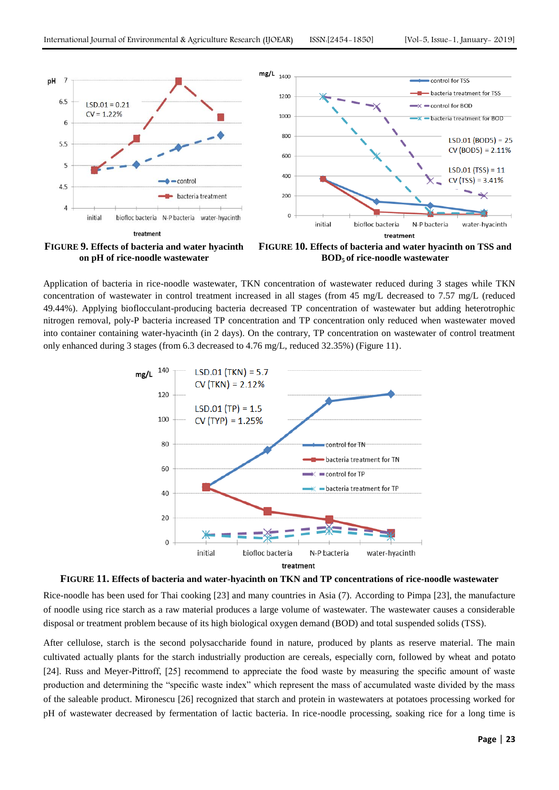

**on pH of rice-noodle wastewater**



Application of bacteria in rice-noodle wastewater, TKN concentration of wastewater reduced during 3 stages while TKN concentration of wastewater in control treatment increased in all stages (from 45 mg/L decreased to 7.57 mg/L (reduced 49.44%). Applying bioflocculant-producing bacteria decreased TP concentration of wastewater but adding heterotrophic nitrogen removal, poly-P bacteria increased TP concentration and TP concentration only reduced when wastewater moved into container containing water-hyacinth (in 2 days). On the contrary, TP concentration on wastewater of control treatment only enhanced during 3 stages (from 6.3 decreased to 4.76 mg/L, reduced 32.35%) (Figure 11).





Rice-noodle has been used for Thai cooking [23] and many countries in Asia (7). According to Pimpa [23], the manufacture of noodle using rice starch as a raw material produces a large volume of wastewater. The wastewater causes a considerable disposal or treatment problem because of its high biological oxygen demand (BOD) and total suspended solids (TSS).

After cellulose, starch is the second polysaccharide found in nature, produced by plants as reserve material. The main cultivated actually plants for the starch industrially production are cereals, especially corn, followed by wheat and potato [24]. Russ and Meyer-Pittroff, [25] recommend to appreciate the food waste by measuring the specific amount of waste production and determining the "specific waste index" which represent the mass of accumulated waste divided by the mass of the saleable product. Mironescu [26] recognized that starch and protein in wastewaters at potatoes processing worked for pH of wastewater decreased by fermentation of lactic bacteria. In rice-noodle processing, soaking rice for a long time is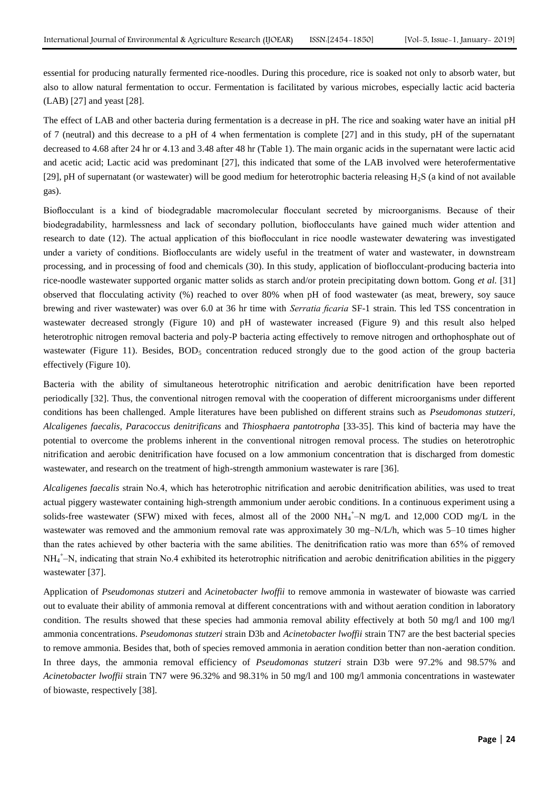essential for producing naturally fermented rice-noodles. During this procedure, rice is soaked not only to absorb water, but also to allow natural fermentation to occur. Fermentation is facilitated by various microbes, especially lactic acid bacteria (LAB) [27] and yeast [28].

The effect of LAB and other bacteria during fermentation is a decrease in pH. The rice and soaking water have an initial pH of 7 (neutral) and this decrease to a pH of 4 when fermentation is complete [27] and in this study, pH of the supernatant decreased to 4.68 after 24 hr or 4.13 and 3.48 after 48 hr (Table 1). The main organic acids in the supernatant were lactic acid and acetic acid; Lactic acid was predominant [27], this indicated that some of the LAB involved were heterofermentative [29], pH of supernatant (or wastewater) will be good medium for heterotrophic bacteria releasing  $H_2S$  (a kind of not available gas).

Bioflocculant is a kind of biodegradable macromolecular flocculant secreted by microorganisms. Because of their biodegradability, harmlessness and lack of secondary pollution, bioflocculants have gained much wider attention and research to date (12). The actual application of this bioflocculant in rice noodle wastewater dewatering was investigated under a variety of conditions. Bioflocculants are widely useful in the treatment of water and wastewater, in downstream processing, and in processing of food and chemicals (30). In this study, application of bioflocculant-producing bacteria into rice-noodle wastewater supported organic matter solids as starch and/or protein precipitating down bottom. Gong *et al.* [31] observed that flocculating activity (%) reached to over 80% when pH of food wastewater (as meat, brewery, soy sauce brewing and river wastewater) was over 6.0 at 36 hr time with *Serratia ficaria* SF-1 strain. This led TSS concentration in wastewater decreased strongly (Figure 10) and pH of wastewater increased (Figure 9) and this result also helped heterotrophic nitrogen removal bacteria and poly-P bacteria acting effectively to remove nitrogen and orthophosphate out of wastewater (Figure 11). Besides,  $BOD<sub>5</sub>$  concentration reduced strongly due to the good action of the group bacteria effectively (Figure 10).

Bacteria with the ability of simultaneous heterotrophic nitrification and aerobic denitrification have been reported periodically [32]. Thus, the conventional nitrogen removal with the cooperation of different microorganisms under different conditions has been challenged. Ample literatures have been published on different strains such as *Pseudomonas stutzeri, Alcaligenes faecalis, Paracoccus denitrificans* and *Thiosphaera pantotropha* [33-35]. This kind of bacteria may have the potential to overcome the problems inherent in the conventional nitrogen removal process. The studies on heterotrophic nitrification and aerobic denitrification have focused on a low ammonium concentration that is discharged from domestic wastewater, and research on the treatment of high-strength ammonium wastewater is rare [36].

*Alcaligenes faecalis* strain No.4, which has heterotrophic nitrification and aerobic denitrification abilities, was used to treat actual piggery wastewater containing high-strength ammonium under aerobic conditions. In a continuous experiment using a solids-free wastewater (SFW) mixed with feces, almost all of the 2000  $NH_4^+$ –N mg/L and 12,000 COD mg/L in the wastewater was removed and the ammonium removal rate was approximately 30 mg–N/L/h, which was 5–10 times higher than the rates achieved by other bacteria with the same abilities. The denitrification ratio was more than 65% of removed NH<sub>4</sub><sup>+</sup>-N, indicating that strain No.4 exhibited its heterotrophic nitrification and aerobic denitrification abilities in the piggery wastewater [37].

Application of *Pseudomonas stutzeri* and *Acinetobacter lwoffii* to remove ammonia in wastewater of biowaste was carried out to evaluate their ability of ammonia removal at different concentrations with and without aeration condition in laboratory condition. The results showed that these species had ammonia removal ability effectively at both 50 mg/l and 100 mg/l ammonia concentrations. *Pseudomonas stutzeri* strain D3b and *Acinetobacter lwoffii* strain TN7 are the best bacterial species to remove ammonia. Besides that, both of species removed ammonia in aeration condition better than non-aeration condition. In three days, the ammonia removal efficiency of *Pseudomonas stutzeri* strain D3b were 97.2% and 98.57% and *Acinetobacter lwoffii* strain TN7 were 96.32% and 98.31% in 50 mg/l and 100 mg/l ammonia concentrations in wastewater of biowaste, respectively [38].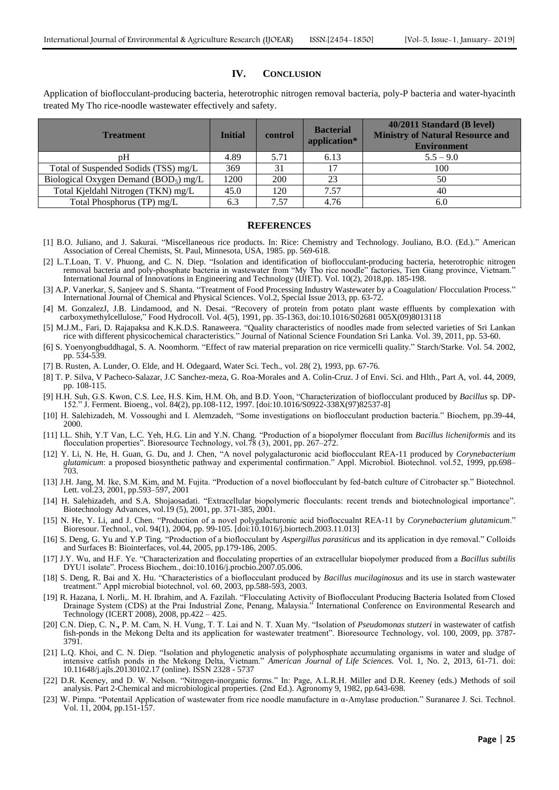## **IV. CONCLUSION**

Application of bioflocculant-producing bacteria, heterotrophic nitrogen removal bacteria, poly-P bacteria and water-hyacinth treated My Tho rice-noodle wastewater effectively and safety.

| <b>Treatment</b>                         | <b>Initial</b> | control    | <b>Bacterial</b><br>application* | 40/2011 Standard (B level)<br><b>Ministry of Natural Resource and</b><br><b>Environment</b> |
|------------------------------------------|----------------|------------|----------------------------------|---------------------------------------------------------------------------------------------|
| pΗ                                       | 4.89           | 5.71       | 6.13                             | $5.5 - 9.0$                                                                                 |
| Total of Suspended Sodids (TSS) mg/L     | 369            | 31         | 17                               | 100                                                                                         |
| Biological Oxygen Demand ( $BOD5$ ) mg/L | 1200           | <b>200</b> | 23                               | 50                                                                                          |
| Total Kjeldahl Nitrogen (TKN) mg/L       | 45.0           | 120        | 7.57                             | 40                                                                                          |
| Total Phosphorus (TP) mg/L               | 6.3            | .57        | 4.76                             | 6.0                                                                                         |

#### **REFERENCES**

- [1] B.O. Juliano, and J. Sakurai. "Miscellaneous rice products. In: Rice: Chemistry and Technology. Jouliano, B.O. (Ed.)." American Association of Cereal Chemists, St. Paul, Minnesota, USA, 1985. pp. 569-618.
- [2] L.T.Loan, T. V. Phuong, and C. N. Diep. "Isolation and identification of bioflocculant-producing bacteria, heterotrophic nitrogen removal bacteria and poly-phosphate bacteria in wastewater from "My Tho rice noodle" factories, Tien Giang province, Vietnam." International Journal of Innovations in Engineering and Technology (IJIET). Vol. 10(2), 2018,pp. 185-198.
- [3] A.P. Vanerkar, S, Sanjeev and S. Shanta. "Treatment of Food Processing Industry Wastewater by a Coagulation/ Flocculation Process." International Journal of Chemical and Physical Sciences. Vol.2, Special Issue 2013, pp. 63-72.
- [4] M. GonzalezJ, J.B. Lindamood, and N. Desai. "Recovery of protein from potato plant waste effluents by complexation with carboxymethylcellulose," Food Hydrocoll. Vol. 4(5), 1991, pp. 35-1363, doi:10.1016/S02681 005X(09)8013118
- [5] M.J.M., Fari, D. Rajapaksa and K.K.D.S. Ranaweera. "Quality characteristics of noodles made from selected varieties of Sri Lankan rice with different physicochemical characteristics." Journal of National Science Foundation Sri Lanka. Vol. 39, 2011, pp. 53-60.
- [6] S. Yoenyongbuddhagal, S. A. Noomhorm. "Effect of raw material preparation on rice vermicelli quality." Starch/Starke. Vol. 54. 2002, pp. 534-539.
- [7] B. Rusten, A. Lunder, O. Elde, and H. Odegaard, Water Sci. Tech., vol. 28( 2), 1993, pp. 67-76.
- [8] T. P. Silva, V Pacheco-Salazar, J.C Sanchez-meza, G. Roa-Morales and A. Colin-Cruz. J of Envi. Sci. and Hlth., Part A, vol. 44, 2009, pp. 108-115.
- [9] H.H. Suh, G.S. Kwon, C.S. Lee, H.S. Kim, H.M. Oh, and B.D. Yoon, "Characterization of bioflocculant produced by *Bacillus* sp. DP-152." J. Ferment. Bioeng., vol. 84(2), pp.108-112, 1997. [doi:10.1016/S0922-338X(97)82537-8]
- [10] H. Salehizadeh, M. Vossoughi and I. Alemzadeh, "Some investigations on bioflocculant production bacteria." Biochem, pp.39-44, 2000.
- [11] I.L. Shih, Y.T Van, L.C. Yeh, H.G. Lin and Y.N. Chang. "Production of a biopolymer flocculant from *Bacillus licheniformis* and its flocculation properties". Bioresource Technology, vol.78 (3), 2001, pp. 267–272.
- [12] Y. Li, N. He, H. Guan, G. Du, and J. Chen, "A novel polygalacturonic acid bioflocculant REA-11 produced by *Corynebacterium glutamicum*: a proposed biosynthetic pathway and experimental confirmation." Appl. Microbiol. Biotechnol. vol.52, 1999, pp.698– 703.
- [13] J.H. Jang, M. Ike, S.M. Kim, and M. Fujita. "Production of a novel bioflocculant by fed-batch culture of Citrobacter sp." Biotechnol. Lett. vol.23, 2001, pp.593–597, 2001
- [14] H. Salehizadeh, and S.A. Shojaosadati. "Extracellular biopolymeric flocculants: recent trends and biotechnological importance". Biotechnology Advances, vol.19 (5), 2001, pp. 371-385, 2001.
- [15] N. He, Y. Li, and J. Chen. "Production of a novel polygalacturonic acid biofloccualnt REA-11 by *Corynebacterium glutamicum*." Bioresour. Technol., vol. 94(1), 2004, pp. 99-105. [doi:10.1016/j.biortech.2003.11.013]
- [16] S. Deng, G. Yu and Y.P Ting. "Production of a bioflocculant by *Aspergillus parasiticus* and its application in dye removal." Colloids and Surfaces B: Biointerfaces, vol.44, 2005, pp.179-186, 2005.
- [17] J.Y. Wu, and H.F. Ye. "Characterization and flocculating properties of an extracellular biopolymer produced from a *Bacillus subtilis* DYU1 isolate". Process Biochem., doi:10.1016/j.procbio.2007.05.006.
- [18] S. Deng, R. Bai and X. Hu. "Characteristics of a bioflocculant produced by *Bacillus mucilaginosus* and its use in starch wastewater treatment." Appl microbial biotechnol, vol. 60, 2003, pp.588-593, 2003.
- [19] R. Hazana, I. Norli,. M. H. Ibrahim, and A. Fazilah. "Flocculating Activity of Bioflocculant Producing Bacteria Isolated from Closed Drainage System (CDS) at the Prai Industrial Zone, Penang, Malaysia." International Conference on Environmental Research and Technology (ICERT 2008), 2008, pp.422 – 425.
- [20] C.N. Diep, C. N.**,** P. M. Cam, N. H. Vung, T. T. Lai and N. T. Xuan My. "Isolation of *Pseudomonas stutzeri* in wastewater of catfish fish-ponds in the Mekong Delta and its application for wastewater treatment". Bioresource Technology, vol. 100, 2009, pp. 3787- 3791.
- [21] L.Q. Khoi, and C. N. Diep. "Isolation and phylogenetic analysis of polyphosphate accumulating organisms in water and sludge of intensive catfish ponds in the Mekong Delta, Vietnam." *American Journal of Life Sciences.* Vol. 1, No. 2, 2013, 61-71. doi: 10.11648/j.ajls.20130102.17 (online). ISSN 2328 - 5737
- [22] D.R. Keeney, and D. W. Nelson. "Nitrogen-inorganic forms." In: Page, A.L.R.H. Miller and D.R. Keeney (eds.) Methods of soil analysis. Part 2-Chemical and microbiological properties. (2nd Ed.). Agronomy 9, 1982, pp.643-698.
- [23] W. Pimpa. "Potentail Application of wastewater from rice noodle manufacture in α-Amylase production." Suranaree J. Sci. Technol. Vol.  $11, 2004, pp.151-157$ .